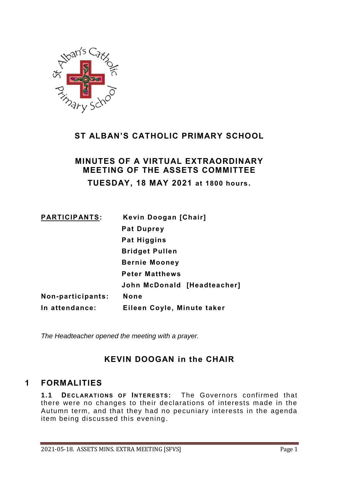

# **ST ALBAN'S CATHOLIC PRIMARY SCHOOL**

# **MINUTES OF A VIRTUAL EXTRAORDINARY MEETING OF THE ASSETS COMMITTEE TUESDAY, 18 MAY 2021 at 1800 hours.**

| <b>PARTICIPANTS:</b> | Kevin Doogan [Chair]        |
|----------------------|-----------------------------|
|                      | <b>Pat Duprey</b>           |
|                      | Pat Higgins                 |
|                      | <b>Bridget Pullen</b>       |
|                      | <b>Bernie Mooney</b>        |
|                      | <b>Peter Matthews</b>       |
|                      | John McDonald [Headteacher] |
| Non-participants:    | None                        |
| In attendance:       | Eileen Coyle, Minute taker  |

*The Headteacher opened the meeting with a prayer.*

## **KEVIN DOOGAN in the CHAIR**

## **1 FORMALITIES**

1.1 **DECLARATIONS OF INTERESTS:** The Governors confirmed that there were no changes to their declarations of interests made in the Autumn term, and that they had no pecuniary interests in the agenda item being discussed this evening.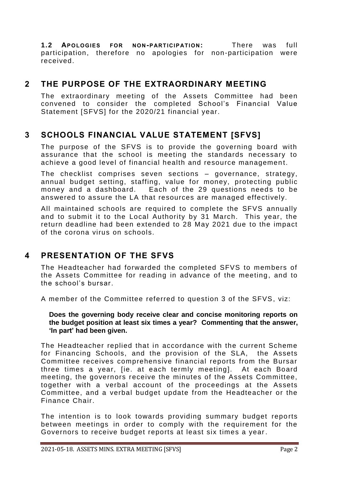**1.2 AP OLOGIES FOR NON -P ARTICIP ATI ON:** There was full participation, therefore no apologies for non-participation were received.

### **2 THE PURPOSE OF THE EXTRAORDINARY MEETING**

The extraordinary meeting of the Assets Committee had been convened to consider the completed School's Financial Value Statement [SFVS] for the 2020/21 financial year.

### **3 SCHOOLS FINANCIAL VALUE STATEMENT [SFVS]**

The purpose of the SFVS is to provide the governing board with assurance that the school is meeting the standards necessary to achieve a good level of financial health and resource management.

The checklist comprises seven sections – governance, strategy, annual budget setting, staffing, value for money, protecting public money and a dashboard. Each of the 29 questions needs to be answered to assure the LA that resources are managed effectively.

All maintained schools are required to complete the SFVS annually and to submit it to the Local Authority by 31 March. This year, the return deadline had been extended to 28 May 2021 due to the impact of the corona virus on schools.

## **4 PRESENTATION OF THE SFVS**

The Headteacher had forwarded the completed SFVS to members of the Assets Committee for reading in advance of the meeting, and to the school's bursar.

A member of the Committee referred to question 3 of the SFVS, viz:

#### **Does the governing body receive clear and concise monitoring reports on the budget position at least six times a year? Commenting that the answer, 'In part' had been given.**

The Headteacher replied that in accordance with the current Scheme for Financing Schools, and the provision of the SLA, the Assets Committee receives comprehensive financial reports from the Bursar three times a year, [ie. at each termly meeting]. At each Board meeting, the governors receive the minutes of the Assets Committee, together with a verbal account of the proceedings at the Assets Committee, and a verbal budget update from the Headteacher or the Finance Chair.

The intention is to look towards providing summary budget reports between meetings in order to comply with the requirement for the Governors to receive budget reports at least six times a year.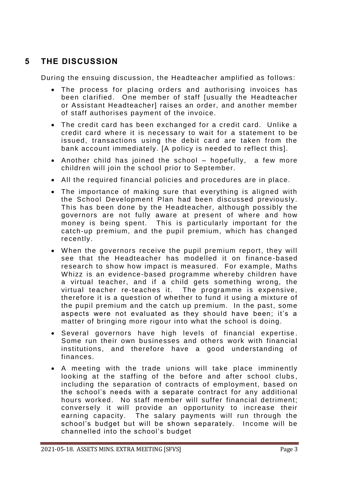# **5 THE DISCUSSION**

During the ensuing discussion, the Headteacher amplified as follows:

- The process for placing orders and authorising invoices has been clarified. One member of staff [usually the Headteacher or Assistant Headteacher] raises an order, and another member of staff authorises payment of the invoice.
- The credit card has been exchanged for a credit card. Unlike a credit card where it is necessary to wait for a statement to be issued, transactions using the debit card are taken from the bank account immediately. [A policy is needed to reflect this].
- Another child has joined the school hopefully, a few more children will join the school prior to September.
- All the required financial policies and procedures are in place.
- The importance of making sure that everything is aligned with the School Development Plan had been discussed previously . This has been done by the Headteacher, although possibly the governors are not fully aware at present of where and how money is being spent. This is particularly important for the catch-up premium, and the pupil premium, which has changed recently.
- When the governors receive the pupil premium report, they will see that the Headteacher has modelled it on finance -based research to show how impact is measured. For example, Maths Whizz is an evidence-based programme whereby children have a virtual teacher, and if a child gets something wrong, the virtual teacher re-teaches it. The programme is expensive, therefore it is a question of whether to fund it using a mixture of the pupil premium and the catch up premium. In the past, some aspects were not evaluated as they should have been; it's a matter of bringing more rigour into what the school is doing.
- Several governors have high levels of financial expertise . Some run their own businesses and others work with financial institutions, and therefore have a good understanding of finances.
- A meeting with the trade unions will take place imminently looking at the staffing of the before and after school clubs, including the separation of contracts of employment, based on the school's needs with a separate contract for any additional hours worked. No staff member will suffer financial detriment; conversely it will provide an opportunity to increase their earning capacity. The salary payments will run through the school's budget but will be shown separately. Income will be channelled into the school's budget